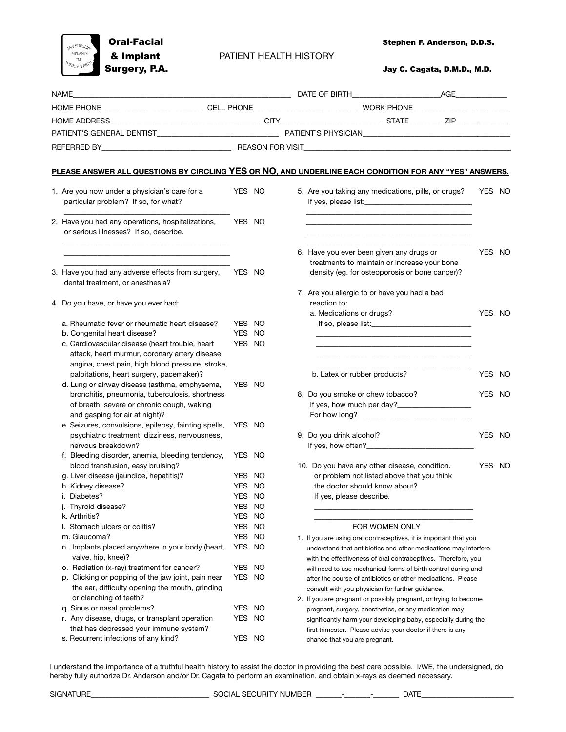

 $\text{Stephen F. Anderson, D.D.S.}$ 

Surgery, P.A. **Galacter Contract Contract Contract Contract Contract Contract Contract Contract Contract Contract Contract Contract Contract Contract Contract Contract Contract Contract Contract Contract Contract Contract** 

| NAME |                                                                                                                                                       |        | AGE A RESERVE THE STATE OF BIRTH AND A RESERVE THE STATE OF BIRTH |                                                                                                                                  |        |  |  |
|------|-------------------------------------------------------------------------------------------------------------------------------------------------------|--------|-------------------------------------------------------------------|----------------------------------------------------------------------------------------------------------------------------------|--------|--|--|
|      |                                                                                                                                                       |        |                                                                   |                                                                                                                                  |        |  |  |
|      | <b>HOME ADDRESS</b>                                                                                                                                   |        |                                                                   |                                                                                                                                  |        |  |  |
|      |                                                                                                                                                       |        |                                                                   |                                                                                                                                  |        |  |  |
|      |                                                                                                                                                       |        |                                                                   |                                                                                                                                  |        |  |  |
|      |                                                                                                                                                       |        |                                                                   |                                                                                                                                  |        |  |  |
|      |                                                                                                                                                       |        |                                                                   | PLEASE ANSWER ALL QUESTIONS BY CIRCLING YES OR NO, AND UNDERLINE EACH CONDITION FOR ANY "YES" ANSWERS.                           |        |  |  |
|      | 1. Are you now under a physician's care for a<br>particular problem? If so, for what?                                                                 | YES NO |                                                                   | 5. Are you taking any medications, pills, or drugs?                                                                              | YES NO |  |  |
|      | 2. Have you had any operations, hospitalizations,<br>or serious illnesses? If so, describe.                                                           | YES NO |                                                                   |                                                                                                                                  |        |  |  |
|      |                                                                                                                                                       |        |                                                                   | 6. Have you ever been given any drugs or<br>treatments to maintain or increase your bone                                         | YES NO |  |  |
|      | 3. Have you had any adverse effects from surgery,<br>dental treatment, or anesthesia?                                                                 | YES NO |                                                                   | density (eg. for osteoporosis or bone cancer)?<br>7. Are you allergic to or have you had a bad                                   |        |  |  |
|      | 4. Do you have, or have you ever had:                                                                                                                 |        |                                                                   | reaction to:<br>a. Medications or drugs?                                                                                         | YES NO |  |  |
|      | a. Rheumatic fever or rheumatic heart disease?                                                                                                        | YES NO |                                                                   |                                                                                                                                  |        |  |  |
|      | b. Congenital heart disease?                                                                                                                          | YES NO |                                                                   |                                                                                                                                  |        |  |  |
|      | c. Cardiovascular disease (heart trouble, heart<br>attack, heart murmur, coronary artery disease,<br>angina, chest pain, high blood pressure, stroke, | YES NO |                                                                   |                                                                                                                                  |        |  |  |
|      | palpitations, heart surgery, pacemaker)?                                                                                                              |        |                                                                   | b. Latex or rubber products?                                                                                                     | YES NO |  |  |
|      | d. Lung or airway disease (asthma, emphysema,<br>bronchitis, pneumonia, tuberculosis, shortness                                                       | YES NO |                                                                   | 8. Do you smoke or chew tobacco?                                                                                                 | YES NO |  |  |
|      | of breath, severe or chronic cough, waking                                                                                                            |        |                                                                   |                                                                                                                                  |        |  |  |
|      | and gasping for air at night)?                                                                                                                        | YES NO |                                                                   |                                                                                                                                  |        |  |  |
|      | e. Seizures, convulsions, epilepsy, fainting spells,<br>psychiatric treatment, dizziness, nervousness,                                                |        |                                                                   | 9. Do you drink alcohol?                                                                                                         | YES NO |  |  |
|      | nervous breakdown?                                                                                                                                    |        |                                                                   | If yes, how often?                                                                                                               |        |  |  |
|      | f. Bleeding disorder, anemia, bleeding tendency,                                                                                                      | YES NO |                                                                   |                                                                                                                                  |        |  |  |
|      | blood transfusion, easy bruising?                                                                                                                     |        |                                                                   | 10. Do you have any other disease, condition.                                                                                    | YES NO |  |  |
|      | g. Liver disease (jaundice, hepatitis)?                                                                                                               | YES NO |                                                                   | or problem not listed above that you think                                                                                       |        |  |  |
|      | h. Kidney disease?                                                                                                                                    | YES NO |                                                                   | the doctor should know about?                                                                                                    |        |  |  |
|      | i. Diabetes?                                                                                                                                          | YES NO |                                                                   | If yes, please describe.                                                                                                         |        |  |  |
|      | j. Thyroid disease?                                                                                                                                   | YES NO |                                                                   |                                                                                                                                  |        |  |  |
|      | k. Arthritis?                                                                                                                                         | YES NO |                                                                   |                                                                                                                                  |        |  |  |
|      | I. Stomach ulcers or colitis?                                                                                                                         | YES NO |                                                                   | FOR WOMEN ONLY                                                                                                                   |        |  |  |
|      | m. Glaucoma?                                                                                                                                          | YES NO |                                                                   | 1. If you are using oral contraceptives, it is important that you                                                                |        |  |  |
|      | n. Implants placed anywhere in your body (heart,<br>valve, hip, knee)?                                                                                | YES NO |                                                                   | understand that antibiotics and other medications may interfere<br>with the effectiveness of oral contraceptives. Therefore, you |        |  |  |
|      | o. Radiation (x-ray) treatment for cancer?                                                                                                            | YES NO |                                                                   | will need to use mechanical forms of birth control during and                                                                    |        |  |  |
|      | p. Clicking or popping of the jaw joint, pain near<br>the ear, difficulty opening the mouth, grinding                                                 | YES NO |                                                                   | after the course of antibiotics or other medications. Please<br>consult with you physician for further guidance.                 |        |  |  |
|      | or clenching of teeth?                                                                                                                                |        |                                                                   | 2. If you are pregnant or possibly pregnant, or trying to become                                                                 |        |  |  |
|      | q. Sinus or nasal problems?                                                                                                                           | YES NO |                                                                   | pregnant, surgery, anesthetics, or any medication may                                                                            |        |  |  |
|      | r. Any disease, drugs, or transplant operation<br>that has depressed your immune system?                                                              | YES NO |                                                                   | significantly harm your developing baby, especially during the<br>first trimester. Please advise your doctor if there is any     |        |  |  |
|      | s. Recurrent infections of any kind?                                                                                                                  | YES NO |                                                                   | chance that you are pregnant.                                                                                                    |        |  |  |

I understand the importance of a truthful health history to assist the doctor in providing the best care possible. I/WE, the undersigned, do hereby fully authorize Dr. Anderson and/or Dr. Cagata to perform an examination, and obtain x-rays as deemed necessary.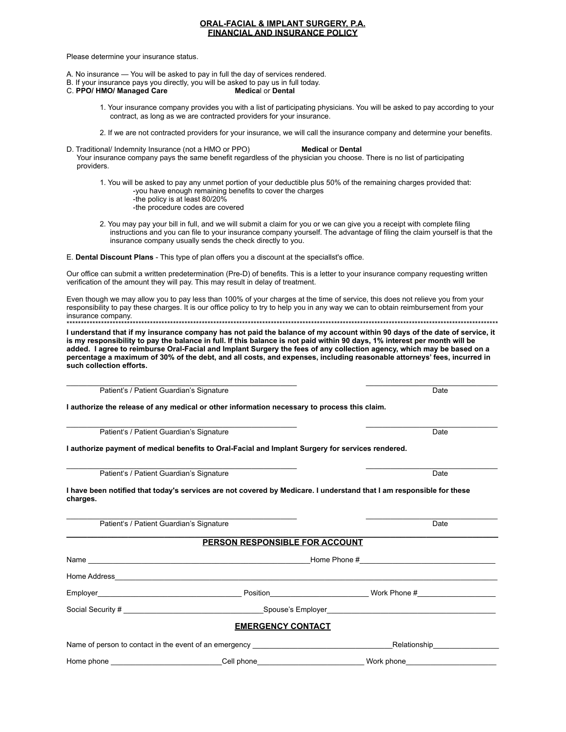# **ORAL-FACIAL & IMPLANT SURGERY, P.A. FINANCIAL AND INSURANCE POLICY**

Please determine your insurance status.

- A. No insurance You will be asked to pay in full the day of services rendered.
- B. If your insurance pays you directly, you will be asked to pay us in full today.
- C. PPO/ HMO/ Managed Care **Medical or Dental** 
	- 1. Your insurance company provides you with a list of participating physicians. You will be asked to pay according to your contract, as long as we are contracted providers for your insurance.
	- 2. If we are not contracted providers for your insurance, we will call the insurance company and determine your benefits.
- D. Traditional/ Indemnity Insurance (not a HMO or PPO) **Medical or Dental** Your insurance company pays the same benefit regardless of the physician you choose. There is no list of participating providers.

1. You will be asked to pay any unmet portion of your deductible plus 50% of the remaining charges provided that: -you have enough remaining benefits to cover the charges

- -the policy is at least 80/20%
- -the procedure codes are covered
- 2. You may pay your bill in full, and we will submit a claim for you or we can give you a receipt with complete filing instructions and you can file to your insurance company yourself. The advantage of filing the claim yourself is that the insurance company usually sends the check directly to you.

E. Dental Discount Plans - This type of plan offers you a discount at the speciallst's office.

Our office can submit a written predetermination (Pre-D) of benefits. This is a letter to your insurance company requesting written verification of the amount they will pay. This may result in delay of treatment.

Even though we may allow you to pay less than 100% of your charges at the time of service, this does not relieve you from your responsibility to pay these charges. It is our office policy to try to help you in any way we can to obtain reimbursement from your insurance company

I understand that if my insurance company has not paid the balance of my account within 90 days of the date of service, it is my responsibility to pay the balance in full. If this balance is not paid within 90 days, 1% interest per month will be added. I agree to reimburse Oral-Facial and Implant Surgery the fees of any collection agency, which may be based on a percentage a maximum of 30% of the debt, and all costs, and expenses, including reasonable attorneys' fees, incurred in such collection efforts.

Date

Date

Date

 $\overline{Data}$ 

Patient's / Patient Guardian's Signature

I authorize the release of any medical or other information necessary to process this claim.

Patient's / Patient Guardian's Signature

I authorize payment of medical benefits to Oral-Facial and Implant Surgery for services rendered.

Patient's / Patient Guardian's Signature

Patient's / Patient Guardian's Signature

I have been notified that today's services are not covered by Medicare. I understand that I am responsible for these charges.

| <b>PERSON RESPONSIBLE FOR ACCOUNT</b>                  |                               |  |  |  |
|--------------------------------------------------------|-------------------------------|--|--|--|
|                                                        |                               |  |  |  |
|                                                        |                               |  |  |  |
| Position_____________________________                  |                               |  |  |  |
|                                                        |                               |  |  |  |
| <b>EMERGENCY CONTACT</b>                               |                               |  |  |  |
| Name of person to contact in the event of an emergency | Relationship_________________ |  |  |  |
| _Cell phone________________________                    | Work phone____________        |  |  |  |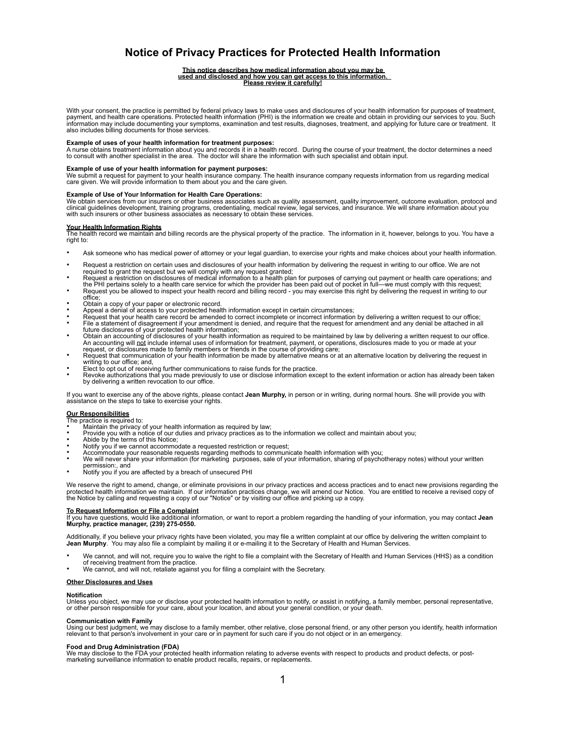# **Notice of Privacy Practices for Protected Health Information**

# **This notice describes how medical information about you may be used and disclosed and how you can get access to this information. Please review it carefully!**

With your consent, the practice is permitted by federal privacy laws to make uses and disclosures of your health information for purposes of treatment,<br>payment, and health care operations. Protected health information (PHI information may include documenting your symptoms, examination and test results, diagnoses, treatment, and applying for future care or treatment. It also includes billing documents for those services.

**Example of uses of your health information for treatment purposes:**<br>A nurse obtains treatment information about you and records it in a health record. During the course of your treatment, the doctor determines a need<br>to

**Example of use of your health information for payment purposes:**<br>We submit a request for payment to your health insurance company. The health insurance company requests information from us regarding medical care given. We will provide information to them about you and the care given.

## **Example of Use of Your Information for Health Care Operations:**

We obtain services from our insurers or other business associates such as quality assessment, quality improvement, outcome evaluation, protocol and<br>clinical guidelines development, training programs, credentialing, medical

## **Your Health Information Rights**

The health record we maintain and billing records are the physical property of the practice. The information in it, however, belongs to you. You have a right to:

- Ask someone who has medical power of attorney or your legal guardian, to exercise your rights and make choices about your health information.
- Request a restriction on certain uses and disclosures of your health information by delivering the request in writing to our office. We are not<br>required to grant the request but we will comply with any request granted;<br>Req
- the PHI pertains solely to a health care service for which the provider has been paid out of pocket in full—we must comply with this request;<br>Request you be allowed to inspect your health record and billing record you ma
- office;
- 
- Obtain a copy of your paper or electronic record.<br>Appeal a denial of access to your protected health information except in certain circumstances;<br>Request that your health care record be amended to correct incomplete or inc File a statement of disagreement if your amendment is denied, and require that the request for amendment and any denial be attached in all future disclosures of your protected health information;
- Obtain an accounting of disclosures of your health information as required to be maintained by law by delivering a written request to our office. An accounting will <u>not</u> include internal uses of information for treatment, payment, or operations, disclosures made to you or made at your<br>request, or disclosures made to family members or friends in the course of provid
- Request that communication of your health information be made by alternative means or at an alternative location by delivering the request in writing to our office; and,<br>Elect to opt out of receiving further communications to raise funds for the practice.
- 
- Revoke authorizations that you made previously to use or disclose information except to the extent information or action has already been taken by delivering a written revocation to our office.

If you want to exercise any of the above rights, please contact **Jean Murphy,** in person or in writing, during normal hours. She will provide you with assistance on the steps to take to exercise your rights.

# **Our Responsibilities**

- The practice is required to:<br>• Maintain the privacy of your health information as required by law;
- 
- 
- 
- 
- Provide you with a notice of our duties and privacy practices as to the information we collect and maintain about you;<br>Abide by the terms of this Notice;<br>Notify you if we cannot accommodate a requested restriction or reque permission:, and **•** Notify you if you are affected by a breach of unsecured PHI
- 

We reserve the right to amend, change, or eliminate provisions in our privacy practices and access practices and to enact new provisions regarding the<br>protected health information we maintain. If our information practices

<u>To Request Information or File a Complaint</u><br>If you have questions, would like additional information, or want to report a problem regarding the handling of your information, you may contact **Jean**<br>Murphy, practice manager

Additionally, if you believe your privacy rights have been violated, you may file a written complaint at our office by delivering the written complaint to<br>**Jean Murphy**. You may also file a complaint by mailing it or e-mai

- We cannot, and will not, require you to waive the right to file a complaint with the Secretary of Health and Human Services (HHS) as a condition
- of receiving treatment from the practice. We cannot, and will not, retaliate against you for filing a complaint with the Secretary.

### **Other Disclosures and Uses**

### **Notification**

Unless you object, we may use or disclose your protected health information to notify, or assist in notifying, a family member, personal representative,<br>or other person responsible for your care, about your location, and a

**Communication with Family**<br>Using our best judgment, we may disclose to a family member, other relative, close personal friend, or any other person you identify, health information relevant to that person's involvement in your care or in payment for such care if you do not object or in an emergency.

## **Food and Drug Administration (FDA)**

We may disclose to the FDA your protected health information relating to adverse events with respect to products and product defects, or post-<br>marketing surveillance information to enable product recalls, repairs, or repla